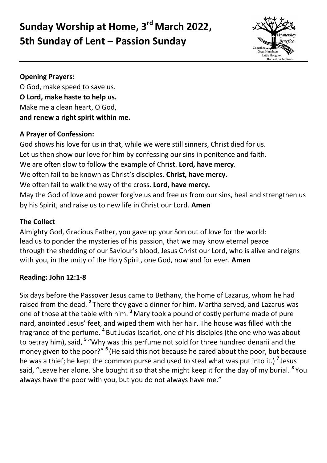# **Sunday Worship at Home, 3 rd March 2022, 5th Sunday of Lent – Passion Sunday**



#### **Opening Prayers:**

O God, make speed to save us. **O Lord, make haste to help us.** Make me a clean heart, O God, **and renew a right spirit within me.**

#### **A Prayer of Confession:**

God shows his love for us in that, while we were still sinners, Christ died for us. Let us then show our love for him by confessing our sins in penitence and faith. We are often slow to follow the example of Christ. **Lord, have mercy**. We often fail to be known as Christ's disciples. **Christ, have mercy.** We often fail to walk the way of the cross. **Lord, have mercy.** May the God of love and power forgive us and free us from our sins, heal and strengthen us by his Spirit, and raise us to new life in Christ our Lord. **Amen**

## **The Collect**

Almighty God, Gracious Father, you gave up your Son out of love for the world: lead us to ponder the mysteries of his passion, that we may know eternal peace through the shedding of our Saviour's blood, Jesus Christ our Lord, who is alive and reigns with you, in the unity of the Holy Spirit, one God, now and for ever. **Amen**

## **Reading: John 12:1-8**

Six days before the Passover Jesus came to Bethany, the home of Lazarus, whom he had raised from the dead. **<sup>2</sup>** There they gave a dinner for him. Martha served, and Lazarus was one of those at the table with him. **<sup>3</sup>** Mary took a pound of costly perfume made of pure nard, anointed Jesus' feet, and wiped them with her hair. The house was filled with the fragrance of the perfume. **<sup>4</sup>** But Judas Iscariot, one of his disciples (the one who was about to betray him), said, **<sup>5</sup>** "Why was this perfume not sold for three hundred denarii and the money given to the poor?" <sup>6</sup> (He said this not because he cared about the poor, but because he was a thief; he kept the common purse and used to steal what was put into it.) **<sup>7</sup>** Jesus said, "Leave her alone. She bought it so that she might keep it for the day of my burial. **<sup>8</sup>** You always have the poor with you, but you do not always have me."